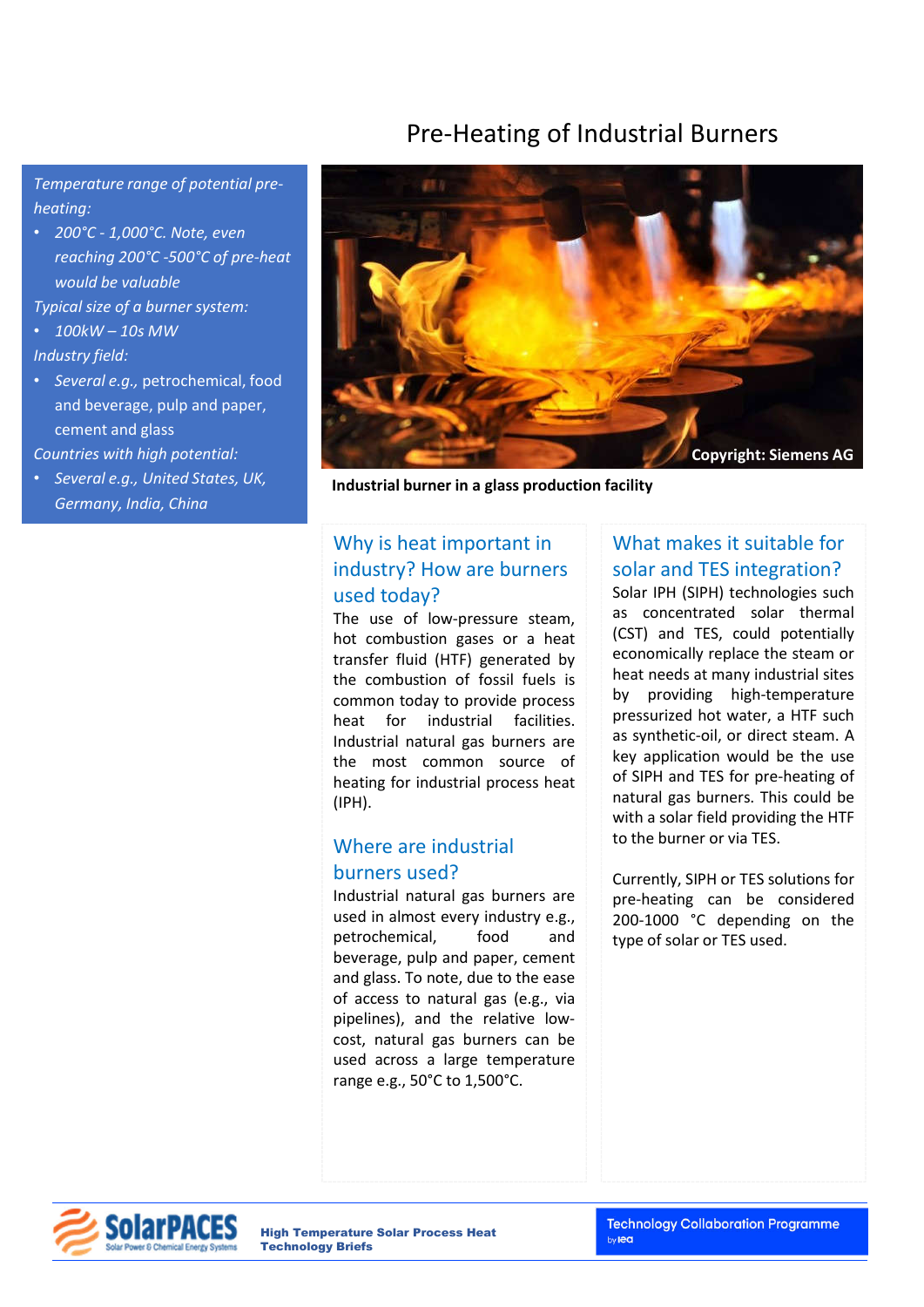# Pre-Heating of Industrial Burners

*Temperature range of potential preheating:* 

• *200°C - 1,000°C. Note, even reaching 200°C -500°C of pre-heat would be valuable*

*Typical size of a burner system:*

- *100kW – 10s MW Industry field:*
- *Several e.g.,* petrochemical, food and beverage, pulp and paper, cement and glass

*Countries with high potential:* 

• *Several e.g., United States, UK, Germany, India, China*



**Industrial burner in a glass production facility**

#### Why is heat important in industry? How are burners used today?

The use of low-pressure steam, hot combustion gases or a heat transfer fluid (HTF) generated by the combustion of fossil fuels is common today to provide process heat for industrial facilities. Industrial natural gas burners are the most common source of heating for industrial process heat (IPH).

#### Where are industrial burners used?

Industrial natural gas burners are used in almost every industry e.g., petrochemical, food and beverage, pulp and paper, cement and glass. To note, due to the ease of access to natural gas (e.g., via pipelines), and the relative lowcost, natural gas burners can be used across a large temperature range e.g., 50°C to 1,500°C.

### What makes it suitable for solar and TES integration?

Solar IPH (SIPH) technologies such as concentrated solar thermal (CST) and TES, could potentially economically replace the steam or heat needs at many industrial sites by providing high-temperature pressurized hot water, a HTF such as synthetic-oil, or direct steam. A key application would be the use of SIPH and TES for pre-heating of natural gas burners. This could be with a solar field providing the HTF to the burner or via TES.

Currently, SIPH or TES solutions for pre-heating can be considered 200-1000 °C depending on the type of solar or TES used.



High Temperature Solar Process Heat Technology Briefs